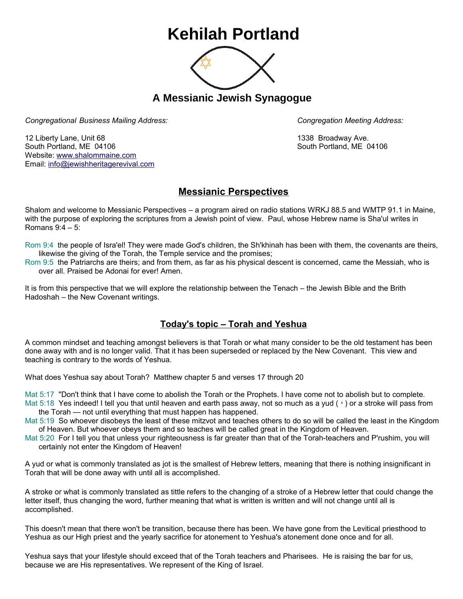## **Kehilah Portland**



**A Messianic Jewish Synagogue** 

*Congregational Business Mailing Address: Congregation Meeting Address:*

12 Liberty Lane, Unit 68 1338 Broadway Ave. South Portland, ME 04106 South Portland, ME 04106 Website: [www.shalommaine.com](http://www.shalommaine.com/) Email: [info@jewishheritagerevival.com](mailto:info@jewishheritagerevival.com) 

## **Messianic Perspectives**

Shalom and welcome to Messianic Perspectives – a program aired on radio stations WRKJ 88.5 and WMTP 91.1 in Maine, with the purpose of exploring the scriptures from a Jewish point of view. Paul, whose Hebrew name is Sha'ul writes in Romans 9:4 – 5:

Rom 9:4 the people of Isra'el! They were made God's children, the Sh'khinah has been with them, the covenants are theirs, likewise the giving of the Torah, the Temple service and the promises;

Rom 9:5 the Patriarchs are theirs; and from them, as far as his physical descent is concerned, came the Messiah, who is over all. Praised be Adonai for ever! Amen.

It is from this perspective that we will explore the relationship between the Tenach – the Jewish Bible and the Brith Hadoshah – the New Covenant writings.

## **Today's topic – Torah and Yeshua**

A common mindset and teaching amongst believers is that Torah or what many consider to be the old testament has been done away with and is no longer valid. That it has been superseded or replaced by the New Covenant. This view and teaching is contrary to the words of Yeshua.

What does Yeshua say about Torah? Matthew chapter 5 and verses 17 through 20

Mat 5:17 "Don't think that I have come to abolish the Torah or the Prophets. I have come not to abolish but to complete. Mat 5:18 Yes indeed! I tell you that until heaven and earth pass away, not so much as a yud ( $\cdot$ ) or a stroke will pass from the Torah — not until everything that must happen has happened.

Mat 5:19 So whoever disobeys the least of these mitzvot and teaches others to do so will be called the least in the Kingdom of Heaven. But whoever obeys them and so teaches will be called great in the Kingdom of Heaven.

Mat 5:20 For I tell you that unless your righteousness is far greater than that of the Torah-teachers and P'rushim, you will certainly not enter the Kingdom of Heaven!

A yud or what is commonly translated as jot is the smallest of Hebrew letters, meaning that there is nothing insignificant in Torah that will be done away with until all is accomplished.

A stroke or what is commonly translated as tittle refers to the changing of a stroke of a Hebrew letter that could change the letter itself, thus changing the word, further meaning that what is written is written and will not change until all is accomplished.

This doesn't mean that there won't be transition, because there has been. We have gone from the Levitical priesthood to Yeshua as our High priest and the yearly sacrifice for atonement to Yeshua's atonement done once and for all.

Yeshua says that your lifestyle should exceed that of the Torah teachers and Pharisees. He is raising the bar for us, because we are His representatives. We represent of the King of Israel.